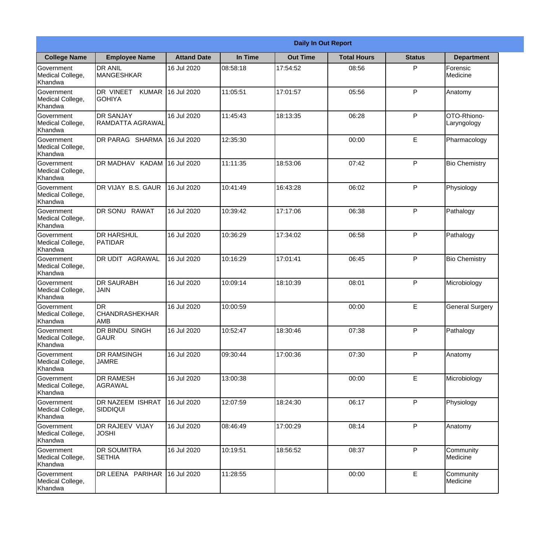|                                                  |                                                  |                    |          | <b>Daily In Out Report</b> |                    |               |                            |
|--------------------------------------------------|--------------------------------------------------|--------------------|----------|----------------------------|--------------------|---------------|----------------------------|
| <b>College Name</b>                              | <b>Employee Name</b>                             | <b>Attand Date</b> | In Time  | <b>Out Time</b>            | <b>Total Hours</b> | <b>Status</b> | <b>Department</b>          |
| Government<br>Medical College,<br>Khandwa        | <b>DR ANIL</b><br><b>MANGESHKAR</b>              | 16 Jul 2020        | 08:58:18 | 17:54:52                   | 08:56              | P             | Forensic<br>Medicine       |
| Government<br>Medical College,<br>Khandwa        | DR VINEET<br><b>KUMAR</b><br><b>GOHIYA</b>       | 16 Jul 2020        | 11:05:51 | 17:01:57                   | 05:56              | P             | Anatomy                    |
| Government<br>Medical College,<br>Khandwa        | <b>IDR SANJAY</b><br>RAMDATTA AGRAWAL            | 16 Jul 2020        | 11:45:43 | 18:13:35                   | 06:28              | P             | OTO-Rhiono-<br>Laryngology |
| Government<br>Medical College,<br>Khandwa        | DR PARAG SHARMA                                  | 16 Jul 2020        | 12:35:30 |                            | 00:00              | E             | Pharmacology               |
| Government<br>Medical College,<br>Khandwa        | DR MADHAV KADAM 16 Jul 2020                      |                    | 11:11:35 | 18:53:06                   | 07:42              | P             | <b>Bio Chemistry</b>       |
| Government<br>Medical College,<br>Khandwa        | DR VIJAY B.S. GAUR                               | 16 Jul 2020        | 10:41:49 | 16:43:28                   | 06:02              | P             | Physiology                 |
| <b>Government</b><br>Medical College,<br>Khandwa | DR SONU RAWAT                                    | 16 Jul 2020        | 10:39:42 | 17:17:06                   | 06:38              | P             | Pathalogy                  |
| Government<br>Medical College,<br>Khandwa        | <b>DR HARSHUL</b><br>PATIDAR                     | 16 Jul 2020        | 10:36:29 | 17:34:02                   | 06:58              | P             | Pathalogy                  |
| Government<br>Medical College,<br>Khandwa        | <b>DR UDIT AGRAWAL</b>                           | 16 Jul 2020        | 10:16:29 | 17:01:41                   | 06:45              | P             | <b>Bio Chemistry</b>       |
| Government<br>Medical College,<br>Khandwa        | <b>DR SAURABH</b><br><b>JAIN</b>                 | 16 Jul 2020        | 10:09:14 | 18:10:39                   | 08:01              | P             | Microbiology               |
| Government<br>Medical College,<br>Khandwa        | <b>DR</b><br><b>CHANDRASHEKHAR</b><br><b>AMB</b> | 16 Jul 2020        | 10:00:59 |                            | 00:00              | E             | <b>General Surgery</b>     |
| Government<br>Medical College,<br>Khandwa        | DR BINDU SINGH<br><b>GAUR</b>                    | 16 Jul 2020        | 10:52:47 | 18:30:46                   | 07:38              | P             | Pathalogy                  |
| Government<br>Medical College,<br>Khandwa        | <b>DR RAMSINGH</b><br><b>JAMRE</b>               | 16 Jul 2020        | 09:30:44 | 17:00:36                   | 07:30              | P             | Anatomy                    |
| Government<br>Medical College,<br>Khandwa        | <b>DR RAMESH</b><br>AGRAWAL                      | 16 Jul 2020        | 13:00:38 |                            | 00:00              | E             | Microbiology               |
| Government<br>Medical College,<br>Khandwa        | <b>DR NAZEEM ISHRAT</b><br>SIDDIQUI              | 16 Jul 2020        | 12:07:59 | 18:24:30                   | 06:17              | P             | Physiology                 |
| Government<br>Medical College,<br>Khandwa        | <b>DR RAJEEV VIJAY</b><br><b>JOSHI</b>           | 16 Jul 2020        | 08:46:49 | 17:00:29                   | 08:14              | P             | Anatomy                    |
| Government<br>Medical College,<br>Khandwa        | <b>DR SOUMITRA</b><br><b>SETHIA</b>              | 16 Jul 2020        | 10:19:51 | 18:56:52                   | 08:37              | P             | Community<br>Medicine      |
| Government<br>Medical College,<br>Khandwa        | DR LEENA PARIHAR                                 | 16 Jul 2020        | 11:28:55 |                            | 00:00              | E             | Community<br>Medicine      |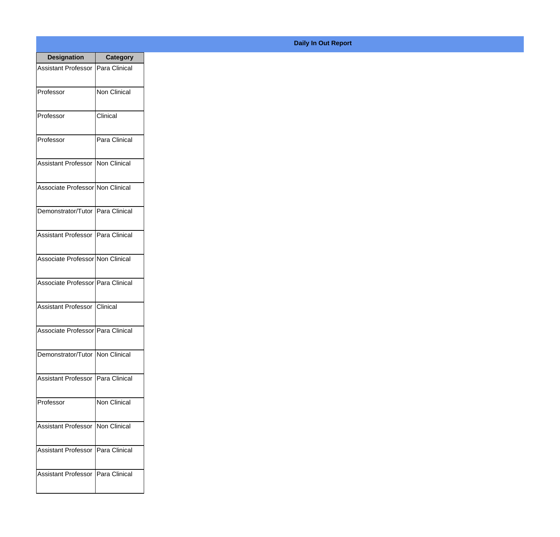| <b>Designation</b>                  | <b>Category</b>     |
|-------------------------------------|---------------------|
| Assistant Professor   Para Clinical |                     |
| Professor                           | Non Clinical        |
| Professor                           | Clinical            |
| Professor                           | Para Clinical       |
| <b>Assistant Professor</b>          | Non Clinical        |
| Associate Professor Non Clinical    |                     |
| Demonstrator/Tutor   Para Clinical  |                     |
| Assistant Professor   Para Clinical |                     |
| Associate Professor Non Clinical    |                     |
| Associate Professor Para Clinical   |                     |
| <b>Assistant Professor</b>          | IClinical           |
| Associate Professor Para Clinical   |                     |
| Demonstrator/Tutor   Non Clinical   |                     |
| Assistant Professor   Para Clinical |                     |
| Professor                           | <b>Non Clinical</b> |
| <b>Assistant Professor</b>          | Non Clinical        |
| <b>Assistant Professor</b>          | Para Clinical       |
| Assistant Professor   Para Clinical |                     |

## **Daily In Out Report**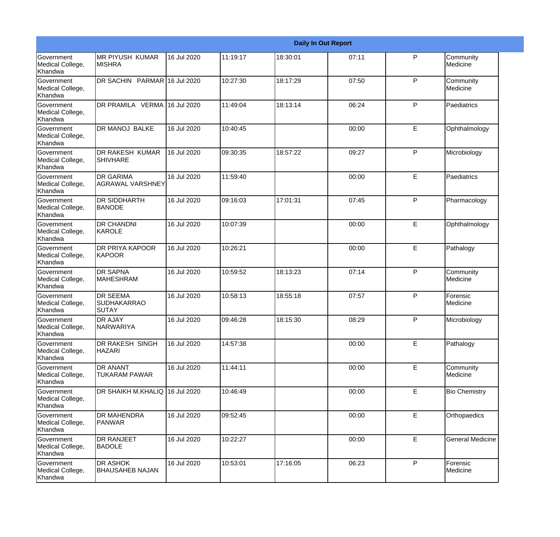|                                                         |                                                       |             |           |          | <b>Daily In Out Report</b> |   |                         |
|---------------------------------------------------------|-------------------------------------------------------|-------------|-----------|----------|----------------------------|---|-------------------------|
| Government<br>Medical College,<br>Khandwa               | <b>MR PIYUSH KUMAR</b><br><b>MISHRA</b>               | 16 Jul 2020 | 11:19:17  | 18:30:01 | 07:11                      | P | Community<br>Medicine   |
| Government<br>Medical College,<br>Khandwa               | DR SACHIN PARMAR 16 Jul 2020                          |             | 10:27:30  | 18:17:29 | 07:50                      | P | Community<br>Medicine   |
| <b>Government</b><br>Medical College,<br>Khandwa        | DR PRAMILA VERMA 16 Jul 2020                          |             | 11:49:04  | 18:13:14 | 06:24                      | P | Paediatrics             |
| <b>Government</b><br>Medical College,<br>Khandwa        | <b>DR MANOJ BALKE</b>                                 | 16 Jul 2020 | 10:40:45  |          | 00:00                      | E | Ophthalmology           |
| Government<br>Medical College,<br>Khandwa               | <b>DR RAKESH KUMAR</b><br><b>SHIVHARE</b>             | 16 Jul 2020 | 09:30:35  | 18:57:22 | 09:27                      | P | Microbiology            |
| <b>Government</b><br>Medical College,<br>Khandwa        | <b>DR GARIMA</b><br>IAGRAWAL VARSHNEY                 | 16 Jul 2020 | 11:59:40  |          | 00:00                      | E | Paediatrics             |
| Government<br>Medical College,<br>Khandwa               | <b>DR SIDDHARTH</b><br><b>BANODE</b>                  | 16 Jul 2020 | 09:16:03  | 17:01:31 | 07:45                      | P | Pharmacology            |
| Government<br>Medical College,<br>Khandwa               | <b>DR CHANDNI</b><br>KAROLE                           | 16 Jul 2020 | 10:07:39  |          | 00:00                      | E | Ophthalmology           |
| Government<br>Medical College,<br>Khandwa               | <b>DR PRIYA KAPOOR</b><br>KAPOOR                      | 16 Jul 2020 | 10:26:21  |          | 00:00                      | E | Pathalogy               |
| <b>Government</b><br>Medical College,<br><b>Khandwa</b> | <b>DR SAPNA</b><br><b>MAHESHRAM</b>                   | 16 Jul 2020 | 10:59:52  | 18:13:23 | 07:14                      | P | Community<br>Medicine   |
| Government<br>Medical College,<br>Khandwa               | <b>DR SEEMA</b><br><b>SUDHAKARRAO</b><br><b>SUTAY</b> | 16 Jul 2020 | 10:58:13  | 18:55:18 | 07:57                      | P | Forensic<br>Medicine    |
| Government<br>Medical College,<br>Khandwa               | <b>DR AJAY</b><br><b>NARWARIYA</b>                    | 16 Jul 2020 | 109:46:28 | 18:15:30 | 08:29                      | P | Microbiology            |
| Government<br>Medical College,<br>Khandwa               | DR RAKESH SINGH<br><b>HAZARI</b>                      | 16 Jul 2020 | 14:57:38  |          | 00:00                      | E | Pathalogy               |
| Government<br>Medical College,<br>Khandwa               | <b>DR ANANT</b><br><b>TUKARAM PAWAR</b>               | 16 Jul 2020 | 11:44:11  |          | 00:00                      | E | Community<br>Medicine   |
| Government<br>Medical College,<br>Khandwa               | DR SHAIKH M.KHALIQ 16 Jul 2020                        |             | 10:46:49  |          | 00:00                      | E | <b>Bio Chemistry</b>    |
| Government<br>Medical College,<br>Khandwa               | <b>DR MAHENDRA</b><br>PANWAR                          | 16 Jul 2020 | 09:52:45  |          | 00:00                      | E | Orthopaedics            |
| Government<br>Medical College,<br>Khandwa               | <b>DR RANJEET</b><br><b>BADOLE</b>                    | 16 Jul 2020 | 10:22:27  |          | 00:00                      | E | <b>General Medicine</b> |
| Government<br>Medical College,<br>Khandwa               | <b>DR ASHOK</b><br>BHAUSAHEB NAJAN                    | 16 Jul 2020 | 10:53:01  | 17:16:05 | 06:23                      | P | Forensic<br>Medicine    |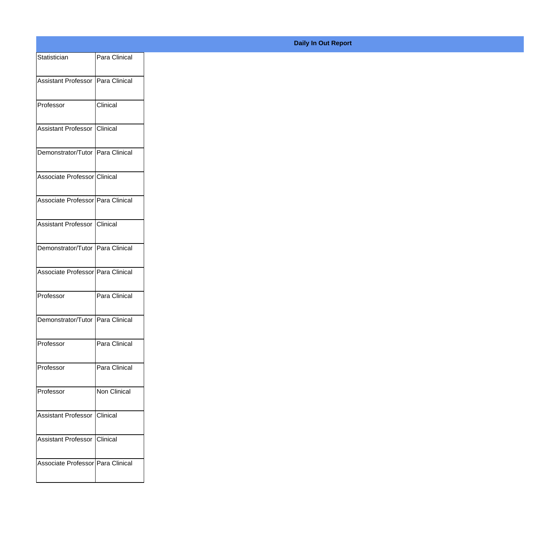| Statistician                        | Para Clinical |
|-------------------------------------|---------------|
| Assistant Professor   Para Clinical |               |
|                                     |               |
| Professor                           | Clinical      |
| Assistant Professor Clinical        |               |
| Demonstrator/Tutor Para Clinical    |               |
| Associate Professor Clinical        |               |
| Associate Professor   Para Clinical |               |
| Assistant Professor Clinical        |               |
| Demonstrator/Tutor Para Clinical    |               |
| Associate Professor Para Clinical   |               |
| Professor                           | Para Clinical |
| Demonstrator/Tutor Para Clinical    |               |
|                                     |               |
| Professor                           | Para Clinical |
| Professor                           | Para Clinical |
| Professor                           | Non Clinical  |
| Assistant Professor Clinical        |               |
| Assistant Professor Clinical        |               |
| Associate Professor Para Clinical   |               |
|                                     |               |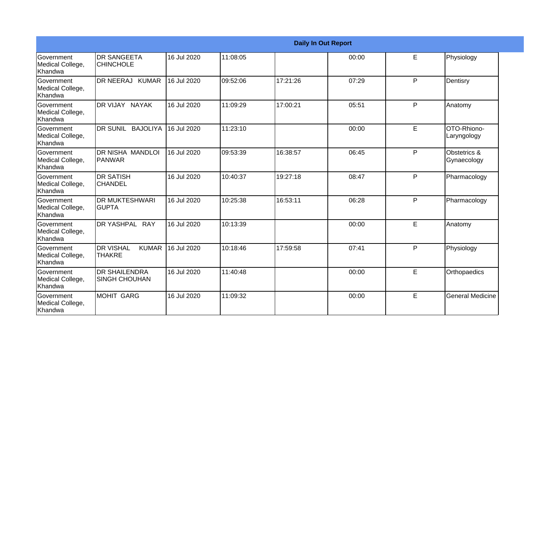|                                                         |                                                   |             |          |          | <b>Daily In Out Report</b> |              |                             |
|---------------------------------------------------------|---------------------------------------------------|-------------|----------|----------|----------------------------|--------------|-----------------------------|
| <b>Government</b><br>Medical College,<br><b>Khandwa</b> | DR SANGEETA<br><b>CHINCHOLE</b>                   | 16 Jul 2020 | 11:08:05 |          | 00:00                      | E            | Physiology                  |
| <b>Government</b><br>Medical College,<br>Khandwa        | DR NEERAJ KUMAR                                   | 16 Jul 2020 | 09:52:06 | 17:21:26 | 07:29                      | $\mathsf{P}$ | Dentisry                    |
| <b>Government</b><br>Medical College,<br>Khandwa        | DR VIJAY NAYAK                                    | 16 Jul 2020 | 11:09:29 | 17:00:21 | 05:51                      | P            | Anatomy                     |
| Government<br>Medical College,<br>Khandwa               | DR SUNIL BAJOLIYA                                 | 16 Jul 2020 | 11:23:10 |          | 00:00                      | E            | OTO-Rhiono-<br>Laryngology  |
| <b>Government</b><br>Medical College,<br>Khandwa        | DR NISHA MANDLOI<br><b>PANWAR</b>                 | 16 Jul 2020 | 09:53:39 | 16:38:57 | 06:45                      | P            | Obstetrics &<br>Gynaecology |
| Government<br>Medical College,<br>Khandwa               | <b>DR SATISH</b><br><b>CHANDEL</b>                | 16 Jul 2020 | 10:40:37 | 19:27:18 | 08:47                      | P            | Pharmacology                |
| Government<br>Medical College,<br>Khandwa               | DR MUKTESHWARI<br>IGUPTA                          | 16 Jul 2020 | 10:25:38 | 16:53:11 | 06:28                      | P            | Pharmacology                |
| <b>Government</b><br>Medical College,<br>Khandwa        | DR YASHPAL RAY                                    | 16 Jul 2020 | 10:13:39 |          | 00:00                      | E            | Anatomy                     |
| <b>Government</b><br>Medical College,<br><b>Khandwa</b> | <b>DR VISHAL</b><br><b>KUMAR</b><br><b>THAKRE</b> | 16 Jul 2020 | 10:18:46 | 17:59:58 | 07:41                      | P            | Physiology                  |
| Government<br>Medical College,<br>Khandwa               | <b>DR SHAILENDRA</b><br><b>SINGH CHOUHAN</b>      | 16 Jul 2020 | 11:40:48 |          | 00:00                      | E.           | Orthopaedics                |
| <b>Government</b><br>Medical College,<br>Khandwa        | <b>MOHIT GARG</b>                                 | 16 Jul 2020 | 11:09:32 |          | 00:00                      | E            | <b>General Medicine</b>     |